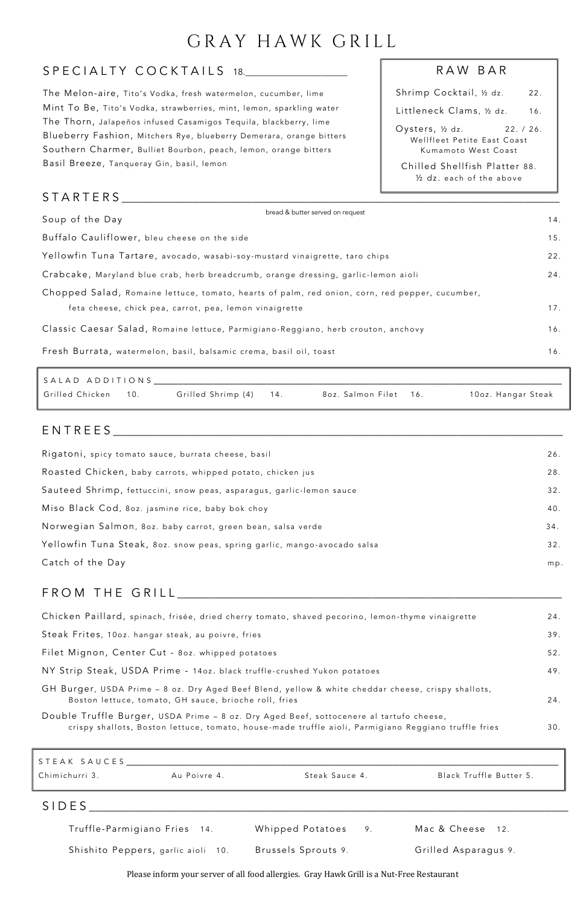# GRAY HAWK GRILL

## SPECIALTY COCKTAILS 18.

| Rigatoni, spicy tomato sauce, burrata cheese, basil                      | 26. |
|--------------------------------------------------------------------------|-----|
| Roasted Chicken, baby carrots, whipped potato, chicken jus               | 28. |
| Sauteed Shrimp, fettuccini, snow peas, asparagus, garlic-lemon sauce     | 32. |
| Miso Black Cod, 80z. jasmine rice, baby bok choy                         | 40. |
| Norwegian Salmon, 80z. baby carrot, green bean, salsa verde              | 34. |
| Yellowfin Tuna Steak, 80z. snow peas, spring garlic, mango-avocado salsa | 32. |
| Catch of the Day                                                         | mp. |
|                                                                          |     |

## FROM THE GRILL \_\_\_\_\_\_\_\_\_\_\_\_\_\_\_\_\_\_\_\_\_\_\_\_\_\_\_\_\_\_\_\_\_\_\_\_\_\_\_\_\_\_\_\_\_\_\_\_\_\_\_\_\_\_\_\_\_\_\_\_\_\_\_\_\_

| Chicken Paillard, spinach, frisée, dried cherry tomato, shaved pecorino, lemon-thyme vinaigrette | 24. |
|--------------------------------------------------------------------------------------------------|-----|
| Steak Frites, 10oz. hangar steak, au poivre, fries                                               | 39. |
| Filet Mignon, Center Cut - 80z. whipped potatoes                                                 | 52. |

| NY Strip Steak, USDA Prime - 14oz. black truffle-crushed Yukon potatoes                                                                                     | 49. |
|-------------------------------------------------------------------------------------------------------------------------------------------------------------|-----|
| GH Burger, USDA Prime – 8 oz. Dry Aged Beef Blend, yellow & white cheddar cheese, crispy shallots,<br>Boston lettuce, tomato, GH sauce, brioche roll, fries | 24. |
| Double Truffle Burger, USDA Prime - 8 oz. Dry Aged Beef, sottocenere al tartufo cheese,                                                                     |     |
| crispy shallots, Boston lettuce, tomato, house-made truffle aioli, Parmigiano Reggiano truffle fries                                                        | 30. |

| Shrimp Cocktail, ½ dz.                                                            | 22. |
|-----------------------------------------------------------------------------------|-----|
| Littleneck Clams, ½ dz.                                                           | 16. |
| Oysters, ½ dz.<br>22. / 26.<br>Wellfleet Petite East Coast<br>Kumamoto West Coast |     |
| Chilled Shellfish Platter 88.<br>1/2 dz. each of the above                        |     |

## ENTREES \_\_\_\_\_\_\_\_\_\_\_\_\_\_\_\_\_\_\_\_\_\_\_\_\_\_\_\_\_\_\_\_\_\_\_\_\_\_\_\_\_\_\_\_\_\_\_\_\_\_\_\_\_\_\_\_\_\_\_\_\_\_\_\_\_\_\_\_\_\_\_\_\_\_\_\_ x

### S TARTERS \_\_\_\_\_\_\_\_\_\_\_\_\_\_\_\_\_\_\_\_\_\_\_\_\_\_\_\_\_\_\_\_\_\_\_\_\_\_\_\_\_\_\_\_\_\_\_\_\_\_\_\_\_\_\_\_\_\_\_\_\_\_\_\_\_\_\_\_\_\_\_\_\_\_

| ∥STEAK SAUCES <sub>.</sub> |              |                |                         |
|----------------------------|--------------|----------------|-------------------------|
| Chimichurri 3.             | Au Poivre 4. | Steak Sauce 4. | Black Truffle Butter 5. |
| SIDES                      |              |                |                         |

Truffle-Parmigiano Fries 14. Whipped Potatoes 9. Mac & Cheese 12. Shishito Peppers, garlic aioli 10. Brussels Sprouts 9. Crilled Asparagus 9.

Please inform your server of all food allergies. Gray Hawk Grill is a Nut-Free Restaurant

#### RAW BAR

| bread & butter served on request<br>Soup of the Day                                                                                                      | 14. |
|----------------------------------------------------------------------------------------------------------------------------------------------------------|-----|
| Buffalo Cauliflower, bleu cheese on the side                                                                                                             | 15. |
| Yellowfin Tuna Tartare, avocado, wasabi-soy-mustard vinaigrette, taro chips                                                                              | 22. |
| Crabcake, Maryland blue crab, herb breadcrumb, orange dressing, garlic-lemon aioli                                                                       | 24. |
| Chopped Salad, Romaine lettuce, tomato, hearts of palm, red onion, corn, red pepper, cucumber,<br>feta cheese, chick pea, carrot, pea, lemon vinaigrette | 17. |
| Classic Caesar Salad, Romaine lettuce, Parmigiano-Reggiano, herb crouton, anchovy                                                                        | 16. |
| Fresh Burrata, watermelon, basil, balsamic crema, basil oil, toast                                                                                       | 16. |

| SALAD ADDITIONS     |                        |                       |                    |
|---------------------|------------------------|-----------------------|--------------------|
| Grilled Chicken 10. | Grilled Shrimp (4) 14. | 8oz. Salmon Filet 16. | 10oz. Hangar Steak |

2 2 .

The Melon-aire, Tito's Vodka, fresh watermelon, cucumber, lime Mint To Be, Tito's Vodka, strawberries, mint, lemon, sparkling water The Thorn, Jalapeños infused Casamigos Tequila, blackberry, lime Blueberry Fashion, Mitchers Rye, blueberry Demerara, orange bitters Southern Charmer, Bulliet Bourbon, peach, lemon, orange bitters Basil Breeze, Tanqueray Gin, basil, lemon